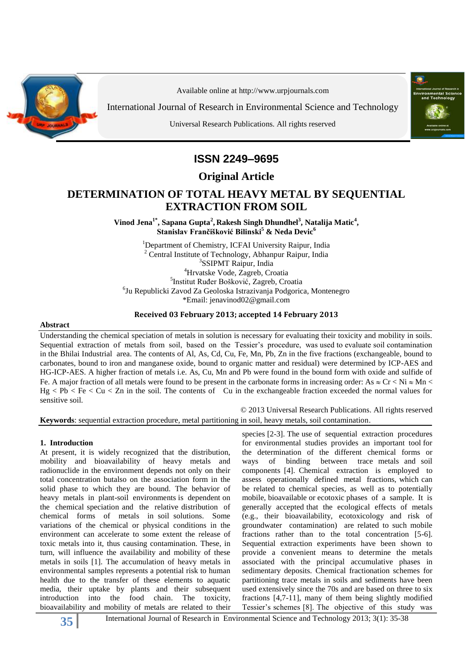

Available online at http:/[/www.urpjournals.com](http://www.urpjournals.com/)

International Journal of Research in Environmental Science and Technology

Universal Research Publications. All rights reserved



# **ISSN 2249–9695**

**Original Article**

## **DETERMINATION OF TOTAL HEAVY METAL BY SEQUENTIAL EXTRACTION FROM SOIL**

**Vinod Jena1\* , Sapana Gupta<sup>2</sup> , Rakesh Singh Dhundhel<sup>3</sup> , Natalija Matic<sup>4</sup> , Stanislav Frančišković Bilinski<sup>5</sup> & Neda Devic<sup>6</sup>**

<sup>1</sup>Department of Chemistry, ICFAI University Raipur, India <sup>2</sup> Central Institute of Technology, Abhanpur Raipur, India 3 SSIPMT Raipur, India <sup>4</sup>Hrvatske Vode, Zagreb, Croatia 5 [Institut Ruđer Bošković,](https://www.facebook.com/irb.hr) Zagreb, Croatia 6 Ju Republicki Zavod Za Geoloska Istrazivanja Podgorica, Montenegro \*Email: [jenavinod02@gmail.com](mailto:jenavinod02@gmail.com)

#### **Received 03 February 2013; accepted 14 February 2013**

#### **Abstract**

Understanding the chemical speciation of metals in solution is necessary for evaluating their toxicity and mobility in soils. Sequential extraction of metals from soil, based on the Tessier's procedure, was used to evaluate soil contamination in the Bhilai Industrial area. The contents of Al, As, Cd, Cu, Fe, Mn, Pb, Zn in the five fractions (exchangeable, bound to carbonates, bound to iron and manganese oxide, bound to organic matter and residual) were determined by ICP-AES and HG-ICP-AES. A higher fraction of metals i.e. As, Cu, Mn and Pb were found in the bound form with oxide and sulfide of Fe. A major fraction of all metals were found to be present in the carbonate forms in increasing order: As  $\approx$  Cr < Ni  $\approx$  Mn <  $Hg < Pb < Fe < Cu < Zn$  in the soil. The contents of Cu in the exchangeable fraction exceeded the normal values for sensitive soil.

© 2013 Universal Research Publications. All rights reserved **Keywords**: sequential extraction procedure, metal partitioning in soil, heavy metals, soil contamination.

#### **1. Introduction**

At present, it is widely recognized that the distribution, mobility and bioavailability of heavy metals and radionuclide in the environment depends not only on their total concentration butalso on the association form in the solid phase to which they are bound. The behavior of heavy metals in plant-soil environments is dependent on the chemical speciation and the relative distribution of chemical forms of metals in soil solutions. Some variations of the chemical or physical conditions in the environment can accelerate to some extent the release of toxic metals into it, thus causing contamination. These, in turn, will influence the availability and mobility of these metals in soils [1]. The accumulation of heavy metals in environmental samples represents a potential risk to human health due to the transfer of these elements to aquatic media, their uptake by plants and their subsequent introduction into the food chain. The toxicity, bioavailability and mobility of metals are related to their species [2-3]. The use of sequential extraction procedures for environmental studies provides an important tool for the determination of the different chemical forms or ways of binding between trace metals and soil components [4]. Chemical extraction is employed to assess operationally defined metal fractions, which can be related to chemical species, as well as to potentially mobile, bioavailable or ecotoxic phases of a sample. It is generally accepted that the ecological effects of metals (e.g., their bioavailability, ecotoxicology and risk of groundwater contamination) are related to such mobile fractions rather than to the total concentration [5-6]. Sequential extraction experiments have been shown to provide a convenient means to determine the metals associated with the principal accumulative phases in sedimentary deposits. Chemical fractionation schemes for partitioning trace metals in soils and sediments have been used extensively since the 70s and are based on three to six fractions [4,7-11], many of them being slightly modified Tessier's schemes [8]. The objective of this study was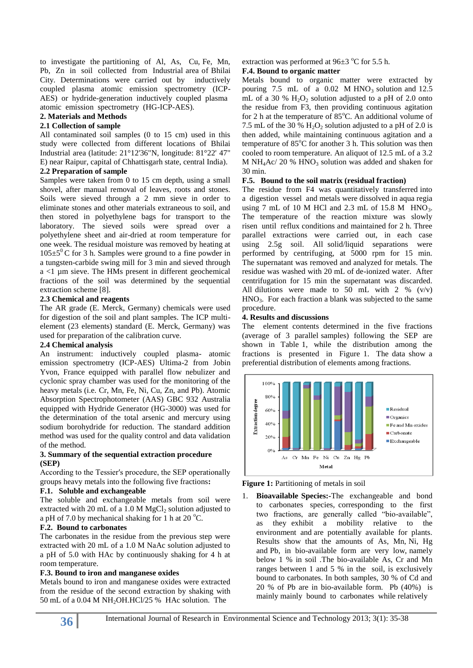to investigate the partitioning of Al, As, Cu, Fe, Mn, Pb, Zn in soil collected from Industrial area of Bhilai City. Determinations were carried out by inductively coupled plasma atomic emission spectrometry (ICP-AES) or hydride-generation inductively coupled plasma atomic emission spectrometry (HG-ICP-AES).

# **2. Materials and Methods**

### **2.1 Collection of sample**

All contaminated soil samples (0 to 15 cm) used in this study were collected from different locations of Bhilai Industrial area (latitude: 21°12'36"N, longitude: 81°22' 47" E) near Raipur, capital of Chhattisgarh state, central India).

#### **2.2 Preparation of sample**

Samples were taken from 0 to 15 cm depth, using a small shovel, after manual removal of leaves, roots and stones. Soils were sieved through a 2 mm sieve in order to eliminate stones and other materials extraneous to soil, and then stored in polyethylene bags for transport to the laboratory. The sieved soils were spread over a polyethylene sheet and air-dried at room temperature for one week. The residual moisture was removed by heating at  $105\pm5^{\circ}$ C for 3 h. Samples were ground to a fine powder in a tungsten-carbide swing mill for 3 min and sieved through  $a < 1$  µm sieve. The HMs present in different geochemical fractions of the soil was determined by the sequential extraction scheme [8].

#### **2.3 Chemical and reagents**

The AR grade (E. Merck, Germany) chemicals were used for digestion of the soil and plant samples. The ICP multielement (23 elements) standard (E. Merck, Germany) was used for preparation of the calibration curve.

#### **2.4 Chemical analysis**

An instrument: inductively coupled plasma- atomic emission spectrometry (ICP-AES) Ultima-2 from Jobin Yvon, France equipped with parallel flow nebulizer and cyclonic spray chamber was used for the monitoring of the heavy metals (i.e. Cr, Mn, Fe, Ni, Cu, Zn, and Pb). Atomic Absorption Spectrophotometer (AAS) GBC 932 Australia equipped with Hydride Generator (HG-3000) was used for the determination of the total arsenic and mercury using sodium borohydride for reduction. The standard addition method was used for the quality control and data validation of the method.

#### **3. Summary of the sequential extraction procedure (SEP)**

According to the Tessier′s procedure, the SEP operationally groups heavy metals into the following five fractions**:**

#### **F.1. Soluble and exchangeable**

The soluble and exchangeable metals from soil were extracted with 20 mL of a 1.0 M  $MgCl<sub>2</sub>$  solution adjusted to a pH of 7.0 by mechanical shaking for 1 h at 20  $^{\circ}$ C.

#### **F.2. Bound to carbonates**

The carbonates in the residue from the previous step were extracted with 20 mL of a 1.0 M NaAc solution adjusted to a pH of 5.0 with HAc by continuously shaking for 4 h at room temperature.

#### **F.3. Bound to iron and manganese oxides**

Metals bound to iron and manganese oxides were extracted from the residue of the second extraction by shaking with 50 mL of a 0.04 M NH2OH.HCl/25 % HAc solution. The

#### extraction was performed at  $96\pm3$  °C for 5.5 h.

#### **F.4. Bound to organic matter**

Metals bound to organic matter were extracted by pouring 7.5 mL of a  $0.02$  M HNO<sub>3</sub> solution and 12.5 mL of a 30 %  $H_2O_2$  solution adjusted to a pH of 2.0 onto the residue from F3, then providing continuous agitation for 2 h at the temperature of  $85^{\circ}$ C. An additional volume of 7.5 mL of the 30 %  $H_2O_2$  solution adjusted to a pH of 2.0 is then added, while maintaining continuous agitation and a temperature of  $85^{\circ}$ C for another 3 h. This solution was then cooled to room temperature. An aliquot of 12.5 mL of a 3.2 M NH<sub>4</sub>Ac/ 20 % HNO<sub>3</sub> solution was added and shaken for 30 min.

#### **F.5. Bound to the soil matrix (residual fraction)**

The residue from F4 was quantitatively transferred into a digestion vessel and metals were dissolved in aqua regia using  $7 \text{ mL of } 10 \text{ M HCl and } 2.3 \text{ mL of } 15.8 \text{ M HNO}_3.$ The temperature of the reaction mixture was slowly risen until reflux conditions and maintained for 2 h. Three parallel extractions were carried out, in each case using 2.5g soil. All solid/liquid separations were performed by centrifuging, at 5000 rpm for 15 min. The supernatant was removed and analyzed for metals. The residue was washed with 20 mL of de-ionized water. After centrifugation for 15 min the supernatant was discarded. All dilutions were made to 50 mL with 2 %  $(v/v)$  $HNO<sub>3</sub>$ . For each fraction a blank was subjected to the same procedure.

#### **4. Results and discussions**

The element contents determined in the five fractions (average of 3 parallel samples) following the SEP are shown in Table 1, while the distribution among the fractions is presented in Figure 1. The data show a preferential distribution of elements among fractions.





1. **Bioavailable Species:-**The exchangeable and bond to carbonates species, corresponding to the first two fractions, are generally called "bio-available", as they exhibit a mobility relative to the environment and are potentially available for plants. Results show that the amounts of As, Mn, Ni, Hg and Pb, in bio-available form are very low, namely below 1 % in soil .The bio-available As, Cr and Mn ranges between 1 and 5 % in the soil, is exclusively bound to carbonates. In both samples, 30 % of Cd and 20 % of Pb are in bio-available form. Pb (40%) is mainly mainly bound to carbonates while relatively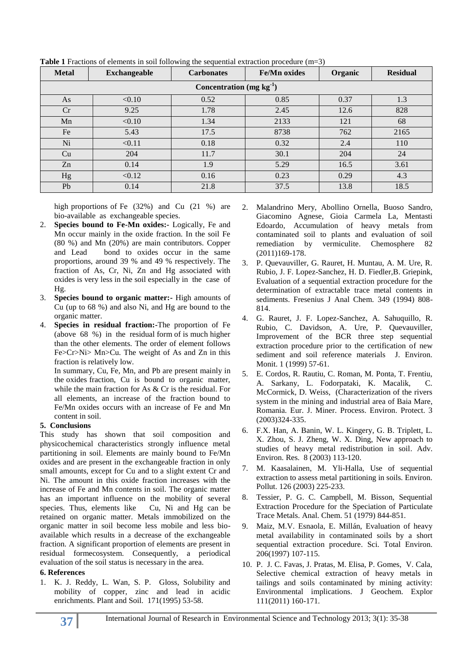| <b>Metal</b>              | <b>Exchangeable</b> | <b>Carbonates</b> | <b>Fe/Mn oxides</b> | Organic | <b>Residual</b> |
|---------------------------|---------------------|-------------------|---------------------|---------|-----------------|
| Concentration $(mg kg-1)$ |                     |                   |                     |         |                 |
| As                        | < 0.10              | 0.52              | 0.85                | 0.37    | 1.3             |
| Cr                        | 9.25                | 1.78              | 2.45                | 12.6    | 828             |
| Mn                        | < 0.10              | 1.34              | 2133                | 121     | 68              |
| Fe                        | 5.43                | 17.5              | 8738                | 762     | 2165            |
| Ni                        | < 0.11              | 0.18              | 0.32                | 2.4     | 110             |
| Cu                        | 204                 | 11.7              | 30.1                | 204     | 24              |
| Zn                        | 0.14                | 1.9               | 5.29                | 16.5    | 3.61            |
| Hg                        | < 0.12              | 0.16              | 0.23                | 0.29    | 4.3             |
| Pb                        | 0.14                | 21.8              | 37.5                | 13.8    | 18.5            |

**Table 1** Fractions of elements in soil following the sequential extraction procedure (m=3)

high proportions of Fe (32%) and Cu (21 %) are bio-available as exchangeable species.

- **Species bound to Fe-Mn oxides:** Logically, Fe and Mn occur mainly in the oxide fraction. In the soil Fe (80 %) and Mn (20%) are main contributors. Copper and Lead bond to oxides occur in the same proportions, around 39 % and 49 % respectively. The fraction of As, Cr, Ni, Zn and Hg associated with oxides is very less in the soil especially in the case of Hg.
- 3. **Species bound to organic matter:-** High amounts of Cu (up to 68 %) and also Ni, and Hg are bound to the organic matter.
- 4. **Species in residual fraction:-**The proportion of Fe (above 68 %) in the residual form of is much higher than the other elements. The order of element follows Fe>Cr>Ni> Mn>Cu. The weight of As and Zn in this fraction is relatively low.

In summary, Cu, Fe, Mn, and Pb are present mainly in the oxides fraction, Cu is bound to organic matter, while the main fraction for As & Cr is the residual. For all elements, an increase of the fraction bound to Fe/Mn oxides occurs with an increase of Fe and Mn content in soil.

## **5. Conclusions**

This study has shown that soil composition and physicochemical characteristics strongly influence metal partitioning in soil. Elements are mainly bound to Fe/Mn oxides and are present in the exchangeable fraction in only small amounts, except for Cu and to a slight extent Cr and Ni. The amount in this oxide fraction increases with the increase of Fe and Mn contents in soil. The organic matter has an important influence on the mobility of several species. Thus, elements like Cu, Ni and Hg can be retained on organic matter. Metals immobilized on the organic matter in soil become less mobile and less bioavailable which results in a decrease of the exchangeable fraction. A significant proportion of elements are present in residual formecosystem. Consequently, a periodical evaluation of the soil status is necessary in the area.

## **6. References**

1. K. J. Reddy, L. Wan, S. P. Gloss, Solubility and mobility of copper, zinc and lead in acidic enrichments. Plant and Soil. 171(1995) 53-58.

- 2. Malandrino Mery, Abollino Ornella, Buoso Sandro, Giacomino Agnese, Gioia Carmela La, Mentasti Edoardo, [Accumulation of heavy metals from](http://www.sciencedirect.com/science/article/pii/S0045653510011719)  [contaminated soil to plants and evaluation of soil](http://www.sciencedirect.com/science/article/pii/S0045653510011719)  [remediation by vermiculite.](http://www.sciencedirect.com/science/article/pii/S0045653510011719) Chemosphere 82 (2011)169-178.
- 3. P. Quevauviller, G. Rauret, H. Muntau, A. M. Ure, R. Rubio, J. F. Lopez-Sanchez, H. D. Fiedler,B. Griepink, Evaluation of a sequential extraction procedure for the determination of extractable trace metal contents in sediments. Fresenius J Anal Chem. 349 (1994) 808- 814.
- 4. G. Rauret, J. F. Lopez-Sanchez, A. Sahuquillo, R. Rubio, C. Davidson, A. Ure, P. Quevauviller, Improvement of the BCR three step sequential extraction procedure prior to the certification of new sediment and soil reference materials J. Environ. Monit. 1 (1999) 57-61.
- 5. E. Cordos, R. Rautiu, C. Roman, M. Ponta, T. Frentiu, A. Sarkany, L. Fodorpataki, K. Macalik, C. McCormick, D. Weiss, (Characterization of the rivers system in the mining and industrial area of Baia Mare, Romania. Eur. J. Miner. Process. Environ. Protect. 3 (2003)324-335.
- 6. F.X. Han, A. Banin, W. L. Kingery, G. B. Triplett, L. X. Zhou, S. J. Zheng, W. X. Ding, [New approach to](http://www.sciencedirect.com/science?_ob=GatewayURL&_method=citationSearch&_urlVersion=4&_origin=SDTOPTWOFIVE&_version=1&_piikey=S1093019102001429&md5=576163fcb8f1772e572cfb9519208ef9)  [studies of heavy metal redistribution in soil.](http://www.sciencedirect.com/science?_ob=GatewayURL&_method=citationSearch&_urlVersion=4&_origin=SDTOPTWOFIVE&_version=1&_piikey=S1093019102001429&md5=576163fcb8f1772e572cfb9519208ef9) Adv. Environ. Res. 8 (2003) 113-120.
- 7. M. Kaasalainen, M. Yli-Halla, Use of sequential extraction to assess metal partitioning in soils. Environ. Pollut. 126 (2003) 225-233.
- 8. Tessier, P. G. C. Campbell, M. Bisson, Sequential Extraction Procedure for the Speciation of Particulate Trace Metals. Anal. Chem. 51 (1979) 844-851.
- 9. Maiz, M.V. Esnaola, E. Millán, [Evaluation of heavy](http://www.sciencedirect.com/science/article/pii/S0048969797800022)  [metal availability in contaminated soils by a short](http://www.sciencedirect.com/science/article/pii/S0048969797800022)  [sequential extraction procedure.](http://www.sciencedirect.com/science/article/pii/S0048969797800022) Sci. Total Environ. 206(1997) 107-115.
- 10. P. J. C. Favas, J. Pratas, M. Elisa, P. Gomes, V. Cala, [Selective chemical extraction of heavy metals in](http://www.sciencedirect.com/science/article/pii/S0375674211000677)  [tailings and soils contaminated by mining activity:](http://www.sciencedirect.com/science/article/pii/S0375674211000677)  [Environmental implications.](http://www.sciencedirect.com/science/article/pii/S0375674211000677) J Geochem. Explor 111(2011) 160-171.